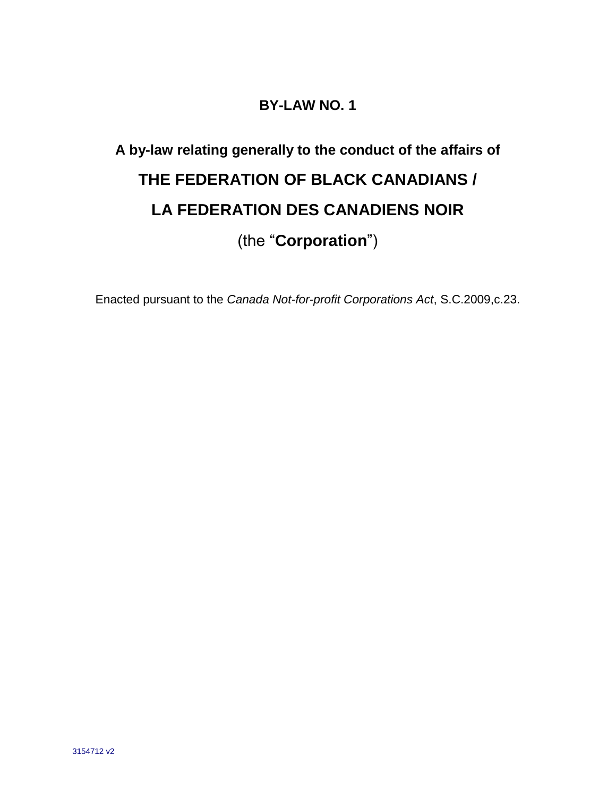# **BY-LAW NO. 1**

# **A by-law relating generally to the conduct of the affairs of THE FEDERATION OF BLACK CANADIANS / LA FEDERATION DES CANADIENS NOIR** (the "**Corporation**")

Enacted pursuant to the *Canada Not-for-profit Corporations Act*, S.C.2009,c.23.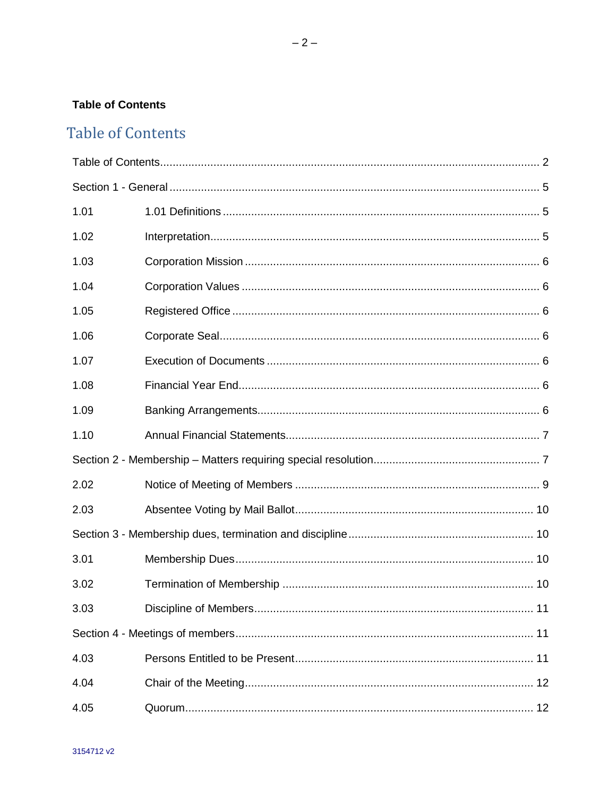# <span id="page-1-0"></span>**Table of Contents**

# **Table of Contents**

| 1.01 |  |  |  |
|------|--|--|--|
| 1.02 |  |  |  |
| 1.03 |  |  |  |
| 1.04 |  |  |  |
| 1.05 |  |  |  |
| 1.06 |  |  |  |
| 1.07 |  |  |  |
| 1.08 |  |  |  |
| 1.09 |  |  |  |
| 1.10 |  |  |  |
|      |  |  |  |
| 2.02 |  |  |  |
| 2.03 |  |  |  |
|      |  |  |  |
| 3.01 |  |  |  |
| 3.02 |  |  |  |
| 3.03 |  |  |  |
|      |  |  |  |
| 4.03 |  |  |  |
| 4.04 |  |  |  |
| 4.05 |  |  |  |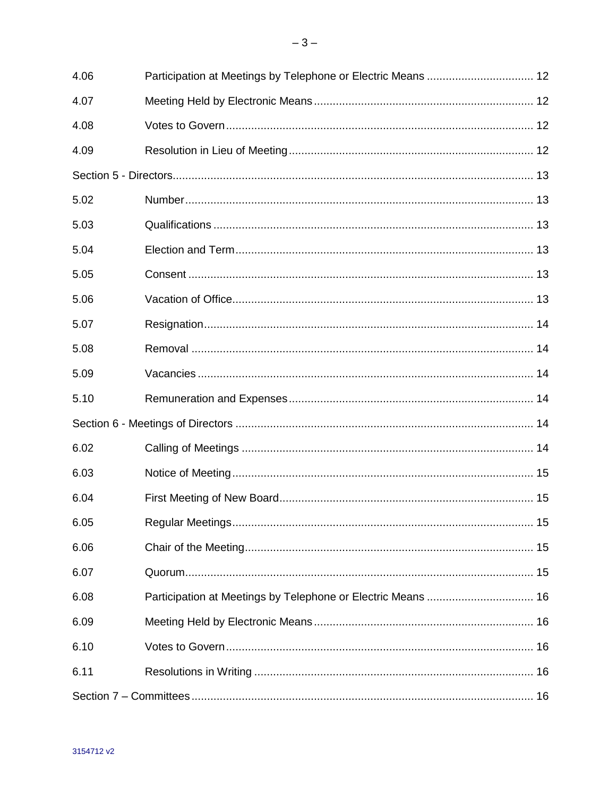| 4.06 |  |  |  |
|------|--|--|--|
| 4.07 |  |  |  |
| 4.08 |  |  |  |
| 4.09 |  |  |  |
|      |  |  |  |
| 5.02 |  |  |  |
| 5.03 |  |  |  |
| 5.04 |  |  |  |
| 5.05 |  |  |  |
| 5.06 |  |  |  |
| 5.07 |  |  |  |
| 5.08 |  |  |  |
| 5.09 |  |  |  |
| 5.10 |  |  |  |
|      |  |  |  |
| 6.02 |  |  |  |
| 6.03 |  |  |  |
| 6.04 |  |  |  |
| 6.05 |  |  |  |
| 6.06 |  |  |  |
| 6.07 |  |  |  |
| 6.08 |  |  |  |
| 6.09 |  |  |  |
| 6.10 |  |  |  |
| 6.11 |  |  |  |
|      |  |  |  |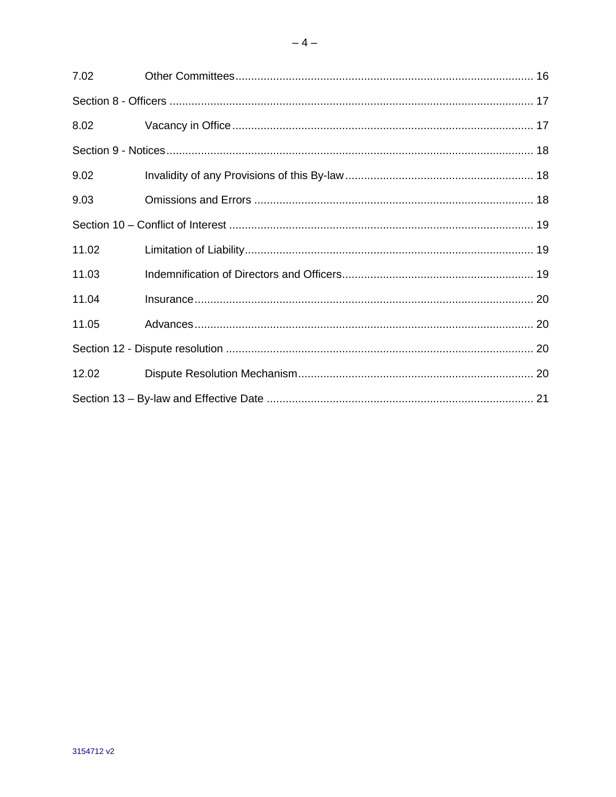| 7.02  |  |  |  |
|-------|--|--|--|
|       |  |  |  |
| 8.02  |  |  |  |
|       |  |  |  |
| 9.02  |  |  |  |
| 9.03  |  |  |  |
|       |  |  |  |
| 11.02 |  |  |  |
| 11.03 |  |  |  |
| 11.04 |  |  |  |
| 11.05 |  |  |  |
|       |  |  |  |
| 12.02 |  |  |  |
|       |  |  |  |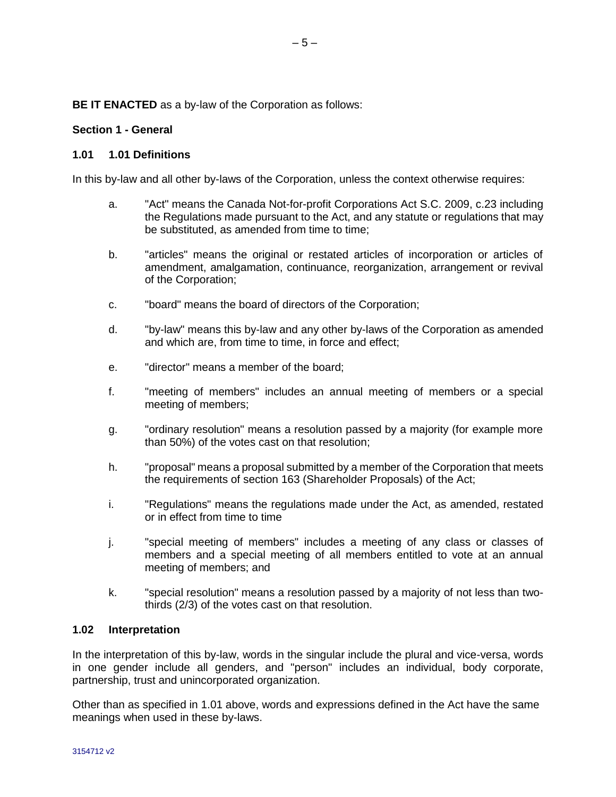**BE IT ENACTED** as a by-law of the Corporation as follows:

#### <span id="page-4-0"></span>**Section 1 - General**

#### <span id="page-4-1"></span>**1.01 1.01 Definitions**

In this by-law and all other by-laws of the Corporation, unless the context otherwise requires:

 $-5-$ 

- a. "Act" means the Canada Not-for-profit Corporations Act S.C. 2009, c.23 including the Regulations made pursuant to the Act, and any statute or regulations that may be substituted, as amended from time to time:
- b. "articles" means the original or restated articles of incorporation or articles of amendment, amalgamation, continuance, reorganization, arrangement or revival of the Corporation;
- c. "board" means the board of directors of the Corporation;
- d. "by-law" means this by-law and any other by-laws of the Corporation as amended and which are, from time to time, in force and effect;
- e. "director" means a member of the board;
- f. "meeting of members" includes an annual meeting of members or a special meeting of members;
- g. "ordinary resolution" means a resolution passed by a majority (for example more than 50%) of the votes cast on that resolution;
- h. "proposal" means a proposal submitted by a member of the Corporation that meets the requirements of section 163 (Shareholder Proposals) of the Act;
- i. "Regulations" means the regulations made under the Act, as amended, restated or in effect from time to time
- j. "special meeting of members" includes a meeting of any class or classes of members and a special meeting of all members entitled to vote at an annual meeting of members; and
- k. "special resolution" means a resolution passed by a majority of not less than twothirds (2/3) of the votes cast on that resolution.

#### <span id="page-4-2"></span>**1.02 Interpretation**

In the interpretation of this by-law, words in the singular include the plural and vice-versa, words in one gender include all genders, and "person" includes an individual, body corporate, partnership, trust and unincorporated organization.

Other than as specified in 1.01 above, words and expressions defined in the Act have the same meanings when used in these by-laws.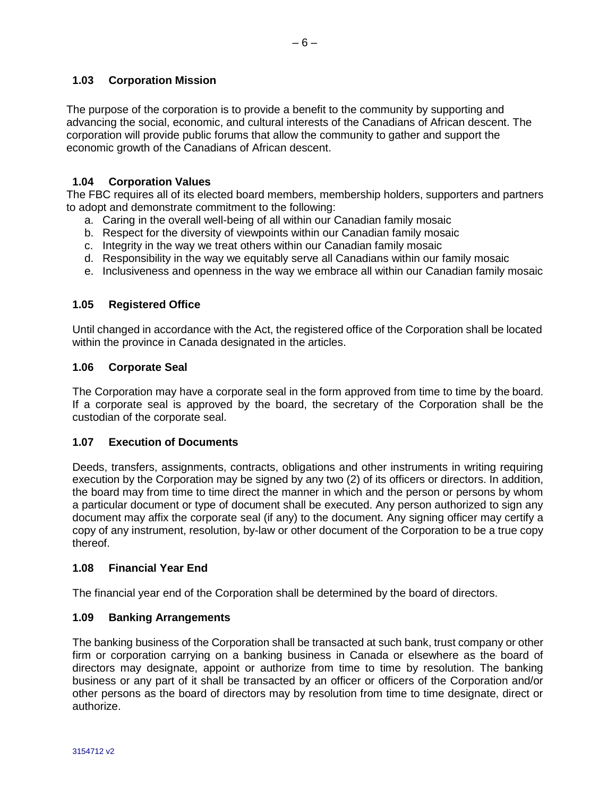#### <span id="page-5-0"></span>**1.03 Corporation Mission**

The purpose of the corporation is to provide a benefit to the community by supporting and advancing the social, economic, and cultural interests of the Canadians of African descent. The corporation will provide public forums that allow the community to gather and support the economic growth of the Canadians of African descent.

#### <span id="page-5-1"></span>**1.04 Corporation Values**

The FBC requires all of its elected board members, membership holders, supporters and partners to adopt and demonstrate commitment to the following:

- a. Caring in the overall well-being of all within our Canadian family mosaic
- b. Respect for the diversity of viewpoints within our Canadian family mosaic
- c. Integrity in the way we treat others within our Canadian family mosaic
- d. Responsibility in the way we equitably serve all Canadians within our family mosaic
- e. Inclusiveness and openness in the way we embrace all within our Canadian family mosaic

#### <span id="page-5-2"></span>**1.05 Registered Office**

Until changed in accordance with the Act, the registered office of the Corporation shall be located within the province in Canada designated in the articles.

#### <span id="page-5-3"></span>**1.06 Corporate Seal**

The Corporation may have a corporate seal in the form approved from time to time by the board. If a corporate seal is approved by the board, the secretary of the Corporation shall be the custodian of the corporate seal.

#### <span id="page-5-4"></span>**1.07 Execution of Documents**

Deeds, transfers, assignments, contracts, obligations and other instruments in writing requiring execution by the Corporation may be signed by any two (2) of its officers or directors. In addition, the board may from time to time direct the manner in which and the person or persons by whom a particular document or type of document shall be executed. Any person authorized to sign any document may affix the corporate seal (if any) to the document. Any signing officer may certify a copy of any instrument, resolution, by-law or other document of the Corporation to be a true copy thereof.

#### <span id="page-5-5"></span>**1.08 Financial Year End**

The financial year end of the Corporation shall be determined by the board of directors.

#### <span id="page-5-6"></span>**1.09 Banking Arrangements**

The banking business of the Corporation shall be transacted at such bank, trust company or other firm or corporation carrying on a banking business in Canada or elsewhere as the board of directors may designate, appoint or authorize from time to time by resolution. The banking business or any part of it shall be transacted by an officer or officers of the Corporation and/or other persons as the board of directors may by resolution from time to time designate, direct or authorize.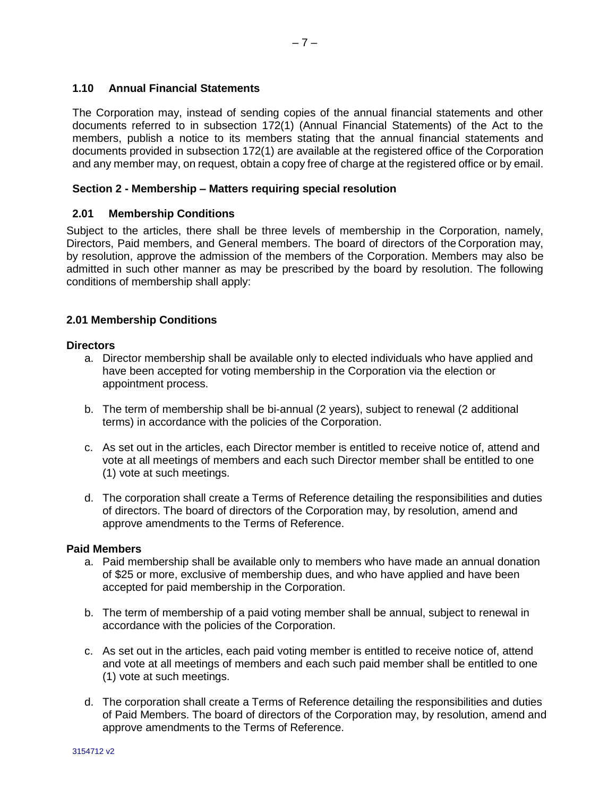#### <span id="page-6-0"></span>**1.10 Annual Financial Statements**

The Corporation may, instead of sending copies of the annual financial statements and other documents referred to in subsection 172(1) (Annual Financial Statements) of the Act to the members, publish a notice to its members stating that the annual financial statements and documents provided in subsection 172(1) are available at the registered office of the Corporation and any member may, on request, obtain a copy free of charge at the registered office or by email.

#### <span id="page-6-1"></span>**Section 2 - Membership – Matters requiring special resolution**

#### **2.01 Membership Conditions**

Subject to the articles, there shall be three levels of membership in the Corporation, namely, Directors, Paid members, and General members. The board of directors of the Corporation may, by resolution, approve the admission of the members of the Corporation. Members may also be admitted in such other manner as may be prescribed by the board by resolution. The following conditions of membership shall apply:

# **2.01 Membership Conditions**

#### **Directors**

- a. Director membership shall be available only to elected individuals who have applied and have been accepted for voting membership in the Corporation via the election or appointment process.
- b. The term of membership shall be bi-annual (2 years), subject to renewal (2 additional terms) in accordance with the policies of the Corporation.
- c. As set out in the articles, each Director member is entitled to receive notice of, attend and vote at all meetings of members and each such Director member shall be entitled to one (1) vote at such meetings.
- d. The corporation shall create a Terms of Reference detailing the responsibilities and duties of directors. The board of directors of the Corporation may, by resolution, amend and approve amendments to the Terms of Reference.

#### **Paid Members**

- a. Paid membership shall be available only to members who have made an annual donation of \$25 or more, exclusive of membership dues, and who have applied and have been accepted for paid membership in the Corporation.
- b. The term of membership of a paid voting member shall be annual, subject to renewal in accordance with the policies of the Corporation.
- c. As set out in the articles, each paid voting member is entitled to receive notice of, attend and vote at all meetings of members and each such paid member shall be entitled to one (1) vote at such meetings.
- d. The corporation shall create a Terms of Reference detailing the responsibilities and duties of Paid Members. The board of directors of the Corporation may, by resolution, amend and approve amendments to the Terms of Reference.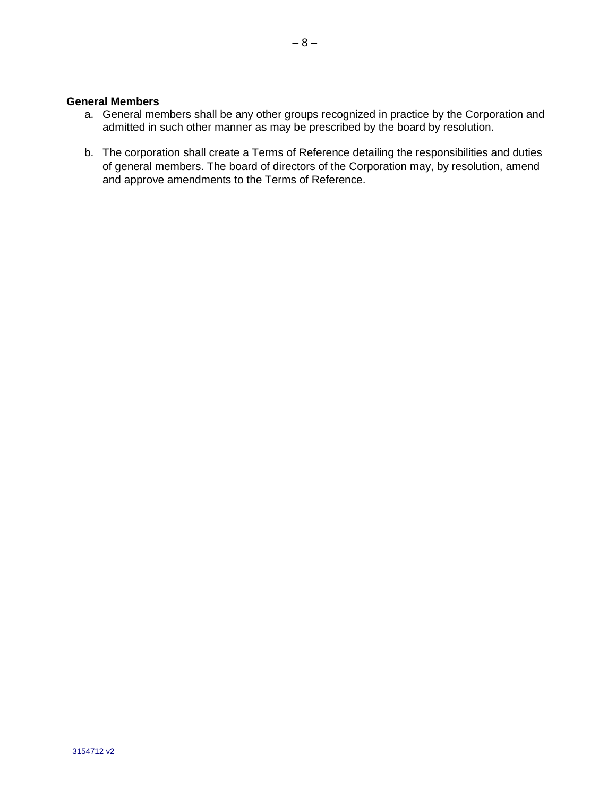#### **General Members**

- a. General members shall be any other groups recognized in practice by the Corporation and admitted in such other manner as may be prescribed by the board by resolution.
- b. The corporation shall create a Terms of Reference detailing the responsibilities and duties of general members. The board of directors of the Corporation may, by resolution, amend and approve amendments to the Terms of Reference.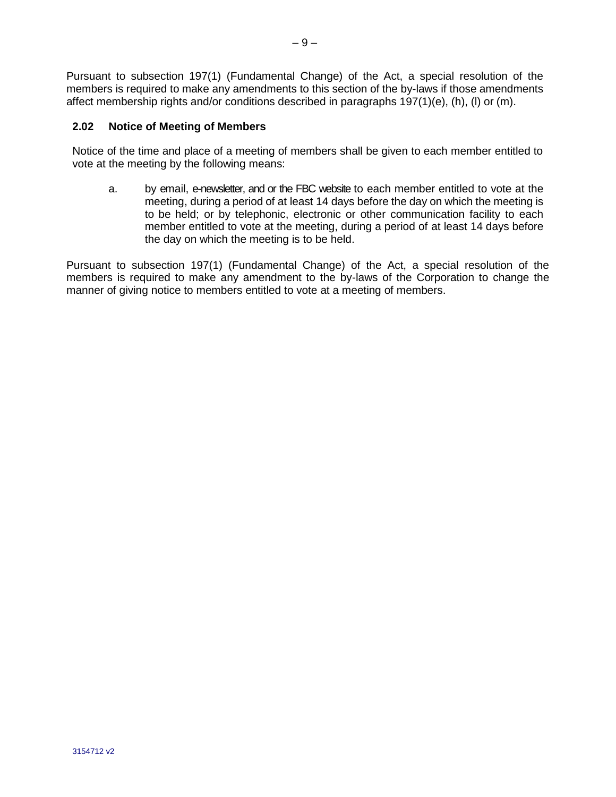Pursuant to subsection 197(1) (Fundamental Change) of the Act, a special resolution of the members is required to make any amendments to this section of the by-laws if those amendments affect membership rights and/or conditions described in paragraphs 197(1)(e), (h), (l) or (m).

#### <span id="page-8-0"></span>**2.02 Notice of Meeting of Members**

Notice of the time and place of a meeting of members shall be given to each member entitled to vote at the meeting by the following means:

a. by email, e-newsletter, and or the FBC website to each member entitled to vote at the meeting, during a period of at least 14 days before the day on which the meeting is to be held; or by telephonic, electronic or other communication facility to each member entitled to vote at the meeting, during a period of at least 14 days before the day on which the meeting is to be held.

Pursuant to subsection 197(1) (Fundamental Change) of the Act, a special resolution of the members is required to make any amendment to the by-laws of the Corporation to change the manner of giving notice to members entitled to vote at a meeting of members.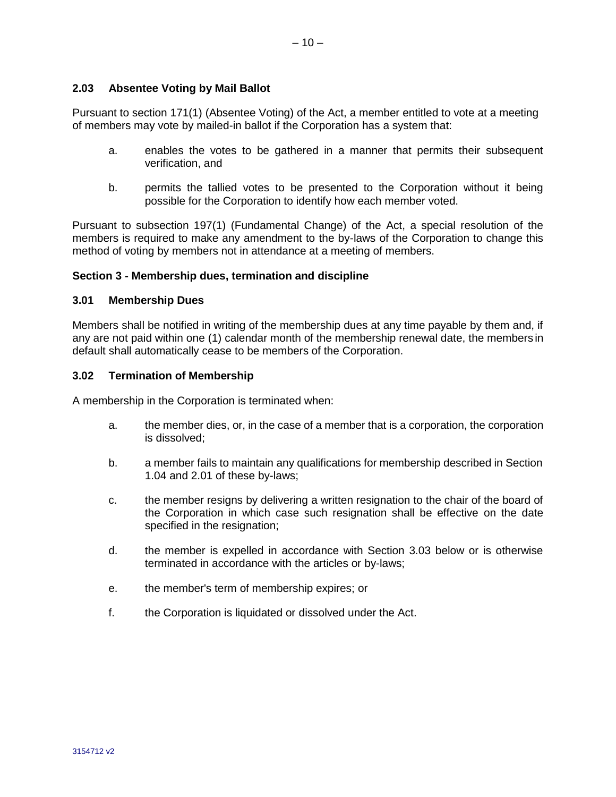<span id="page-9-0"></span>Pursuant to section 171(1) (Absentee Voting) of the Act, a member entitled to vote at a meeting of members may vote by mailed-in ballot if the Corporation has a system that:

- a. enables the votes to be gathered in a manner that permits their subsequent verification, and
- b. permits the tallied votes to be presented to the Corporation without it being possible for the Corporation to identify how each member voted.

Pursuant to subsection 197(1) (Fundamental Change) of the Act, a special resolution of the members is required to make any amendment to the by-laws of the Corporation to change this method of voting by members not in attendance at a meeting of members.

#### <span id="page-9-1"></span>**Section 3 - Membership dues, termination and discipline**

#### <span id="page-9-2"></span>**3.01 Membership Dues**

Members shall be notified in writing of the membership dues at any time payable by them and, if any are not paid within one (1) calendar month of the membership renewal date, the members in default shall automatically cease to be members of the Corporation.

#### <span id="page-9-3"></span>**3.02 Termination of Membership**

A membership in the Corporation is terminated when:

- a. the member dies, or, in the case of a member that is a corporation, the corporation is dissolved;
- b. a member fails to maintain any qualifications for membership described in Section 1.04 and 2.01 of these by-laws;
- c. the member resigns by delivering a written resignation to the chair of the board of the Corporation in which case such resignation shall be effective on the date specified in the resignation;
- d. the member is expelled in accordance with Section 3.03 below or is otherwise terminated in accordance with the articles or by-laws;
- e. the member's term of membership expires; or
- f. the Corporation is liquidated or dissolved under the Act.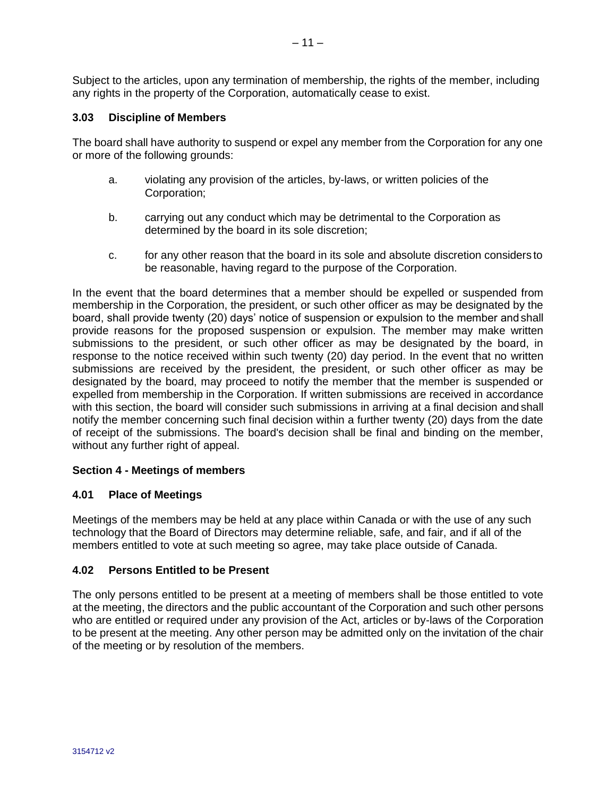Subject to the articles, upon any termination of membership, the rights of the member, including any rights in the property of the Corporation, automatically cease to exist.

#### <span id="page-10-0"></span>**3.03 Discipline of Members**

The board shall have authority to suspend or expel any member from the Corporation for any one or more of the following grounds:

- a. violating any provision of the articles, by-laws, or written policies of the Corporation;
- b. carrying out any conduct which may be detrimental to the Corporation as determined by the board in its sole discretion;
- c. for any other reason that the board in its sole and absolute discretion considers to be reasonable, having regard to the purpose of the Corporation.

In the event that the board determines that a member should be expelled or suspended from membership in the Corporation, the president, or such other officer as may be designated by the board, shall provide twenty (20) days' notice of suspension or expulsion to the member and shall provide reasons for the proposed suspension or expulsion. The member may make written submissions to the president, or such other officer as may be designated by the board, in response to the notice received within such twenty (20) day period. In the event that no written submissions are received by the president, the president, or such other officer as may be designated by the board, may proceed to notify the member that the member is suspended or expelled from membership in the Corporation. If written submissions are received in accordance with this section, the board will consider such submissions in arriving at a final decision and shall notify the member concerning such final decision within a further twenty (20) days from the date of receipt of the submissions. The board's decision shall be final and binding on the member, without any further right of appeal.

#### <span id="page-10-1"></span>**Section 4 - Meetings of members**

#### **4.01 Place of Meetings**

Meetings of the members may be held at any place within Canada or with the use of any such technology that the Board of Directors may determine reliable, safe, and fair, and if all of the members entitled to vote at such meeting so agree, may take place outside of Canada.

#### <span id="page-10-2"></span>**4.02 Persons Entitled to be Present**

The only persons entitled to be present at a meeting of members shall be those entitled to vote at the meeting, the directors and the public accountant of the Corporation and such other persons who are entitled or required under any provision of the Act, articles or by-laws of the Corporation to be present at the meeting. Any other person may be admitted only on the invitation of the chair of the meeting or by resolution of the members.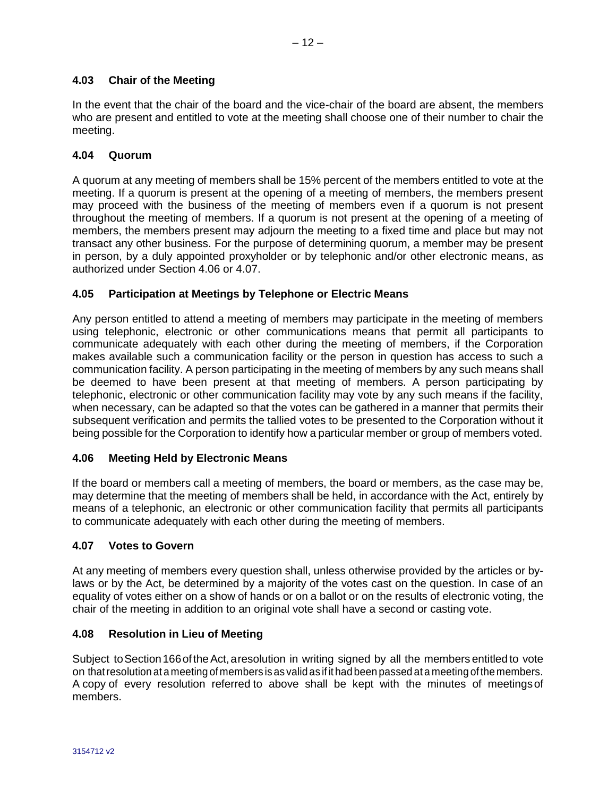### <span id="page-11-0"></span>**4.03 Chair of the Meeting**

In the event that the chair of the board and the vice-chair of the board are absent, the members who are present and entitled to vote at the meeting shall choose one of their number to chair the meeting.

#### <span id="page-11-1"></span>**4.04 Quorum**

A quorum at any meeting of members shall be 15% percent of the members entitled to vote at the meeting. If a quorum is present at the opening of a meeting of members, the members present may proceed with the business of the meeting of members even if a quorum is not present throughout the meeting of members. If a quorum is not present at the opening of a meeting of members, the members present may adjourn the meeting to a fixed time and place but may not transact any other business. For the purpose of determining quorum, a member may be present in person, by a duly appointed proxyholder or by telephonic and/or other electronic means, as authorized under Section 4.06 or 4.07.

#### <span id="page-11-2"></span>**4.05 Participation at Meetings by Telephone or Electric Means**

Any person entitled to attend a meeting of members may participate in the meeting of members using telephonic, electronic or other communications means that permit all participants to communicate adequately with each other during the meeting of members, if the Corporation makes available such a communication facility or the person in question has access to such a communication facility. A person participating in the meeting of members by any such means shall be deemed to have been present at that meeting of members. A person participating by telephonic, electronic or other communication facility may vote by any such means if the facility, when necessary, can be adapted so that the votes can be gathered in a manner that permits their subsequent verification and permits the tallied votes to be presented to the Corporation without it being possible for the Corporation to identify how a particular member or group of members voted.

#### <span id="page-11-3"></span>**4.06 Meeting Held by Electronic Means**

If the board or members call a meeting of members, the board or members, as the case may be, may determine that the meeting of members shall be held, in accordance with the Act, entirely by means of a telephonic, an electronic or other communication facility that permits all participants to communicate adequately with each other during the meeting of members.

#### <span id="page-11-4"></span>**4.07 Votes to Govern**

At any meeting of members every question shall, unless otherwise provided by the articles or bylaws or by the Act, be determined by a majority of the votes cast on the question. In case of an equality of votes either on a show of hands or on a ballot or on the results of electronic voting, the chair of the meeting in addition to an original vote shall have a second or casting vote.

#### <span id="page-11-5"></span>**4.08 Resolution in Lieu of Meeting**

Subiect to Section 166 of the Act, a resolution in writing signed by all the members entitled to vote on thatresolution at a meeting of members is as valid as if it had been passed at a meeting of the members. A copy of every resolution referred to above shall be kept with the minutes of meetingsof members.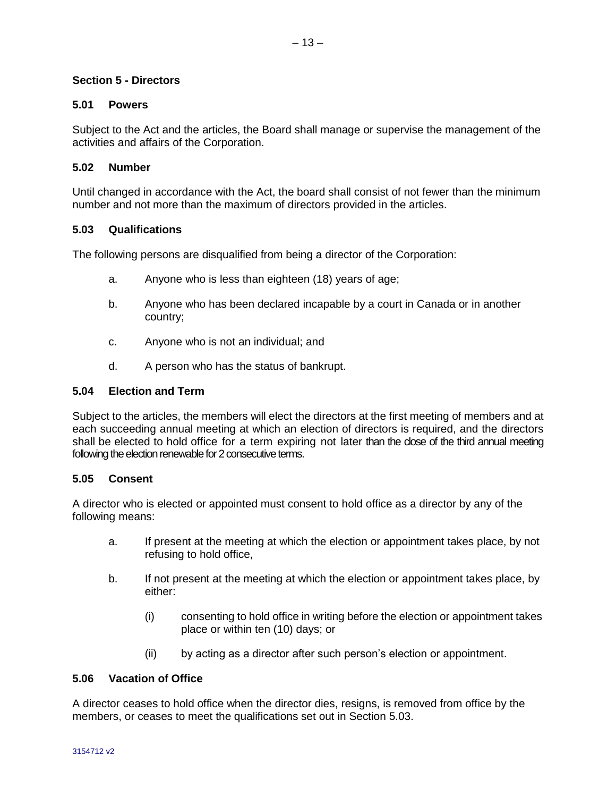#### <span id="page-12-0"></span>**Section 5 - Directors**

#### **5.01 Powers**

Subject to the Act and the articles, the Board shall manage or supervise the management of the activities and affairs of the Corporation.

#### <span id="page-12-1"></span>**5.02 Number**

Until changed in accordance with the Act, the board shall consist of not fewer than the minimum number and not more than the maximum of directors provided in the articles.

#### <span id="page-12-2"></span>**5.03 Qualifications**

The following persons are disqualified from being a director of the Corporation:

- a. Anyone who is less than eighteen (18) years of age;
- b. Anyone who has been declared incapable by a court in Canada or in another country;
- c. Anyone who is not an individual; and
- d. A person who has the status of bankrupt.

#### <span id="page-12-3"></span>**5.04 Election and Term**

Subject to the articles, the members will elect the directors at the first meeting of members and at each succeeding annual meeting at which an election of directors is required, and the directors shall be elected to hold office for a term expiring not later than the close of the third annual meeting following the election renewable for 2 consecutive terms.

#### <span id="page-12-4"></span>**5.05 Consent**

A director who is elected or appointed must consent to hold office as a director by any of the following means:

- a. If present at the meeting at which the election or appointment takes place, by not refusing to hold office,
- b. If not present at the meeting at which the election or appointment takes place, by either:
	- (i) consenting to hold office in writing before the election or appointment takes place or within ten (10) days; or
	- (ii) by acting as a director after such person's election or appointment.

#### <span id="page-12-5"></span>**5.06 Vacation of Office**

A director ceases to hold office when the director dies, resigns, is removed from office by the members, or ceases to meet the qualifications set out in Section 5.03.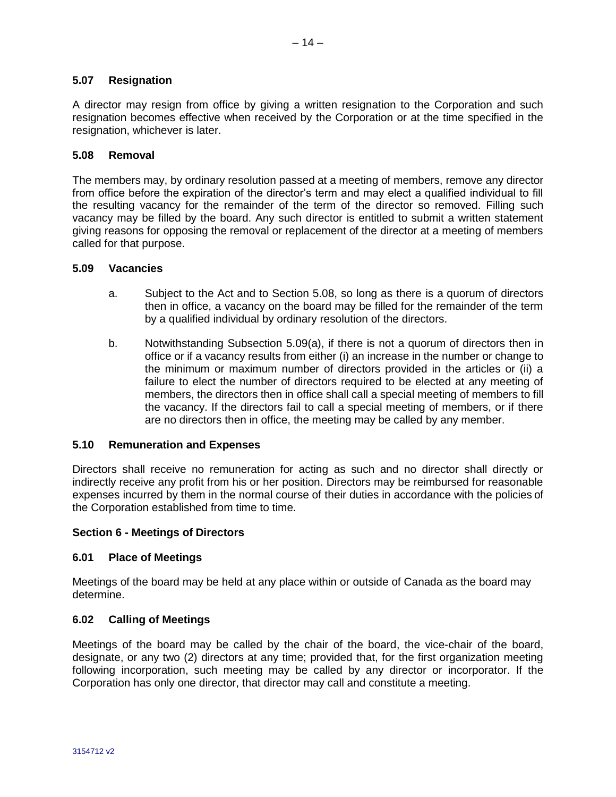#### <span id="page-13-0"></span>**5.07 Resignation**

A director may resign from office by giving a written resignation to the Corporation and such resignation becomes effective when received by the Corporation or at the time specified in the resignation, whichever is later.

#### <span id="page-13-1"></span>**5.08 Removal**

The members may, by ordinary resolution passed at a meeting of members, remove any director from office before the expiration of the director's term and may elect a qualified individual to fill the resulting vacancy for the remainder of the term of the director so removed. Filling such vacancy may be filled by the board. Any such director is entitled to submit a written statement giving reasons for opposing the removal or replacement of the director at a meeting of members called for that purpose.

#### <span id="page-13-2"></span>**5.09 Vacancies**

- a. Subject to the Act and to Section 5.08, so long as there is a quorum of directors then in office, a vacancy on the board may be filled for the remainder of the term by a qualified individual by ordinary resolution of the directors.
- b. Notwithstanding Subsection 5.09(a), if there is not a quorum of directors then in office or if a vacancy results from either (i) an increase in the number or change to the minimum or maximum number of directors provided in the articles or (ii) a failure to elect the number of directors required to be elected at any meeting of members, the directors then in office shall call a special meeting of members to fill the vacancy. If the directors fail to call a special meeting of members, or if there are no directors then in office, the meeting may be called by any member.

#### <span id="page-13-3"></span>**5.10 Remuneration and Expenses**

Directors shall receive no remuneration for acting as such and no director shall directly or indirectly receive any profit from his or her position. Directors may be reimbursed for reasonable expenses incurred by them in the normal course of their duties in accordance with the policies of the Corporation established from time to time.

#### <span id="page-13-4"></span>**Section 6 - Meetings of Directors**

#### **6.01 Place of Meetings**

Meetings of the board may be held at any place within or outside of Canada as the board may determine.

#### <span id="page-13-5"></span>**6.02 Calling of Meetings**

Meetings of the board may be called by the chair of the board, the vice-chair of the board, designate, or any two (2) directors at any time; provided that, for the first organization meeting following incorporation, such meeting may be called by any director or incorporator. If the Corporation has only one director, that director may call and constitute a meeting.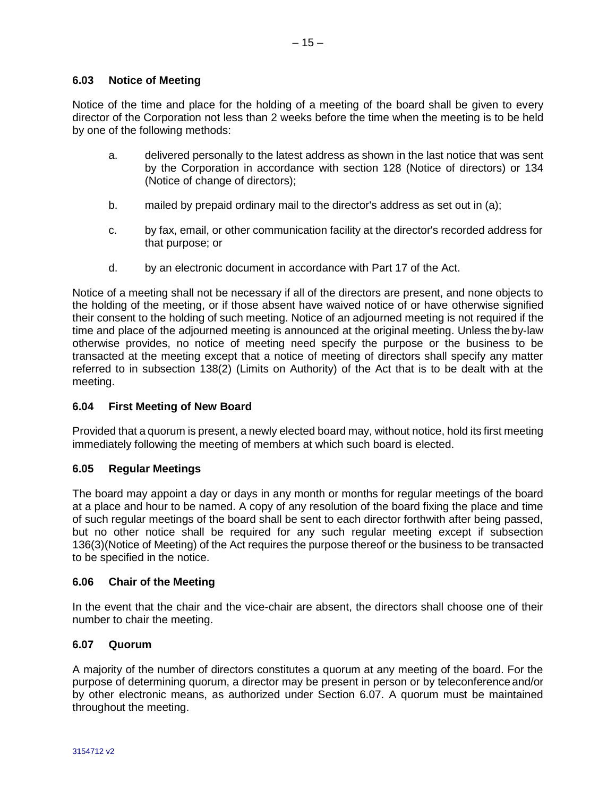#### <span id="page-14-0"></span>**6.03 Notice of Meeting**

Notice of the time and place for the holding of a meeting of the board shall be given to every director of the Corporation not less than 2 weeks before the time when the meeting is to be held by one of the following methods:

- a. delivered personally to the latest address as shown in the last notice that was sent by the Corporation in accordance with section 128 (Notice of directors) or 134 (Notice of change of directors);
- b. mailed by prepaid ordinary mail to the director's address as set out in (a);
- c. by fax, email, or other communication facility at the director's recorded address for that purpose; or
- d. by an electronic document in accordance with Part 17 of the Act.

Notice of a meeting shall not be necessary if all of the directors are present, and none objects to the holding of the meeting, or if those absent have waived notice of or have otherwise signified their consent to the holding of such meeting. Notice of an adjourned meeting is not required if the time and place of the adjourned meeting is announced at the original meeting. Unless the by-law otherwise provides, no notice of meeting need specify the purpose or the business to be transacted at the meeting except that a notice of meeting of directors shall specify any matter referred to in subsection 138(2) (Limits on Authority) of the Act that is to be dealt with at the meeting.

# <span id="page-14-1"></span>**6.04 First Meeting of New Board**

Provided that a quorum is present, a newly elected board may, without notice, hold its first meeting immediately following the meeting of members at which such board is elected.

# <span id="page-14-2"></span>**6.05 Regular Meetings**

The board may appoint a day or days in any month or months for regular meetings of the board at a place and hour to be named. A copy of any resolution of the board fixing the place and time of such regular meetings of the board shall be sent to each director forthwith after being passed, but no other notice shall be required for any such regular meeting except if subsection 136(3)(Notice of Meeting) of the Act requires the purpose thereof or the business to be transacted to be specified in the notice.

# <span id="page-14-3"></span>**6.06 Chair of the Meeting**

In the event that the chair and the vice-chair are absent, the directors shall choose one of their number to chair the meeting.

# <span id="page-14-4"></span>**6.07 Quorum**

A majority of the number of directors constitutes a quorum at any meeting of the board. For the purpose of determining quorum, a director may be present in person or by teleconference and/or by other electronic means, as authorized under Section 6.07. A quorum must be maintained throughout the meeting.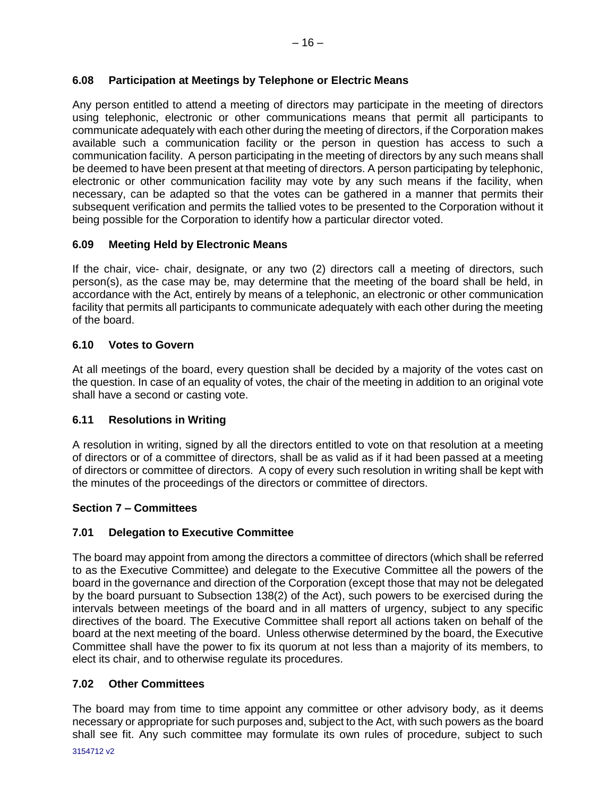# <span id="page-15-0"></span>**6.08 Participation at Meetings by Telephone or Electric Means**

Any person entitled to attend a meeting of directors may participate in the meeting of directors using telephonic, electronic or other communications means that permit all participants to communicate adequately with each other during the meeting of directors, if the Corporation makes available such a communication facility or the person in question has access to such a communication facility. A person participating in the meeting of directors by any such means shall be deemed to have been present at that meeting of directors. A person participating by telephonic, electronic or other communication facility may vote by any such means if the facility, when necessary, can be adapted so that the votes can be gathered in a manner that permits their subsequent verification and permits the tallied votes to be presented to the Corporation without it being possible for the Corporation to identify how a particular director voted.

# <span id="page-15-1"></span>**6.09 Meeting Held by Electronic Means**

If the chair, vice- chair, designate, or any two (2) directors call a meeting of directors, such person(s), as the case may be, may determine that the meeting of the board shall be held, in accordance with the Act, entirely by means of a telephonic, an electronic or other communication facility that permits all participants to communicate adequately with each other during the meeting of the board.

# <span id="page-15-2"></span>**6.10 Votes to Govern**

At all meetings of the board, every question shall be decided by a majority of the votes cast on the question. In case of an equality of votes, the chair of the meeting in addition to an original vote shall have a second or casting vote.

# <span id="page-15-3"></span>**6.11 Resolutions in Writing**

A resolution in writing, signed by all the directors entitled to vote on that resolution at a meeting of directors or of a committee of directors, shall be as valid as if it had been passed at a meeting of directors or committee of directors. A copy of every such resolution in writing shall be kept with the minutes of the proceedings of the directors or committee of directors.

# <span id="page-15-4"></span>**Section 7 – Committees**

# **7.01 Delegation to Executive Committee**

The board may appoint from among the directors a committee of directors (which shall be referred to as the Executive Committee) and delegate to the Executive Committee all the powers of the board in the governance and direction of the Corporation (except those that may not be delegated by the board pursuant to Subsection 138(2) of the Act), such powers to be exercised during the intervals between meetings of the board and in all matters of urgency, subject to any specific directives of the board. The Executive Committee shall report all actions taken on behalf of the board at the next meeting of the board. Unless otherwise determined by the board, the Executive Committee shall have the power to fix its quorum at not less than a majority of its members, to elect its chair, and to otherwise regulate its procedures.

# <span id="page-15-5"></span>**7.02 Other Committees**

The board may from time to time appoint any committee or other advisory body, as it deems necessary or appropriate for such purposes and, subject to the Act, with such powers as the board shall see fit. Any such committee may formulate its own rules of procedure, subject to such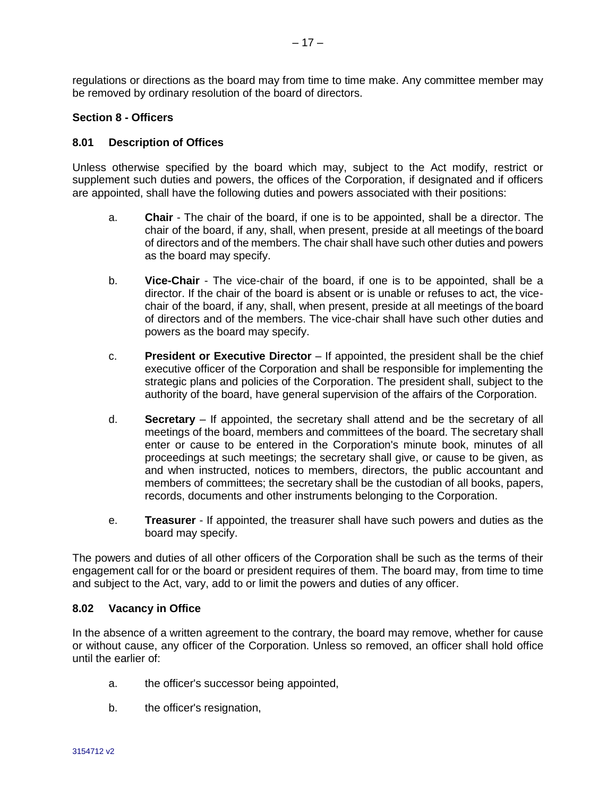regulations or directions as the board may from time to time make. Any committee member may be removed by ordinary resolution of the board of directors.

#### <span id="page-16-0"></span>**Section 8 - Officers**

#### **8.01 Description of Offices**

Unless otherwise specified by the board which may, subject to the Act modify, restrict or supplement such duties and powers, the offices of the Corporation, if designated and if officers are appointed, shall have the following duties and powers associated with their positions:

- a. **Chair**  The chair of the board, if one is to be appointed, shall be a director. The chair of the board, if any, shall, when present, preside at all meetings of the board of directors and of the members. The chair shall have such other duties and powers as the board may specify.
- b. **Vice-Chair**  The vice-chair of the board, if one is to be appointed, shall be a director. If the chair of the board is absent or is unable or refuses to act, the vicechair of the board, if any, shall, when present, preside at all meetings of the board of directors and of the members. The vice-chair shall have such other duties and powers as the board may specify.
- c. **President or Executive Director** If appointed, the president shall be the chief executive officer of the Corporation and shall be responsible for implementing the strategic plans and policies of the Corporation. The president shall, subject to the authority of the board, have general supervision of the affairs of the Corporation.
- d. **Secretary**  If appointed, the secretary shall attend and be the secretary of all meetings of the board, members and committees of the board. The secretary shall enter or cause to be entered in the Corporation's minute book, minutes of all proceedings at such meetings; the secretary shall give, or cause to be given, as and when instructed, notices to members, directors, the public accountant and members of committees; the secretary shall be the custodian of all books, papers, records, documents and other instruments belonging to the Corporation.
- e. **Treasurer**  If appointed, the treasurer shall have such powers and duties as the board may specify.

The powers and duties of all other officers of the Corporation shall be such as the terms of their engagement call for or the board or president requires of them. The board may, from time to time and subject to the Act, vary, add to or limit the powers and duties of any officer.

#### <span id="page-16-1"></span>**8.02 Vacancy in Office**

In the absence of a written agreement to the contrary, the board may remove, whether for cause or without cause, any officer of the Corporation. Unless so removed, an officer shall hold office until the earlier of:

- a. the officer's successor being appointed,
- b. the officer's resignation,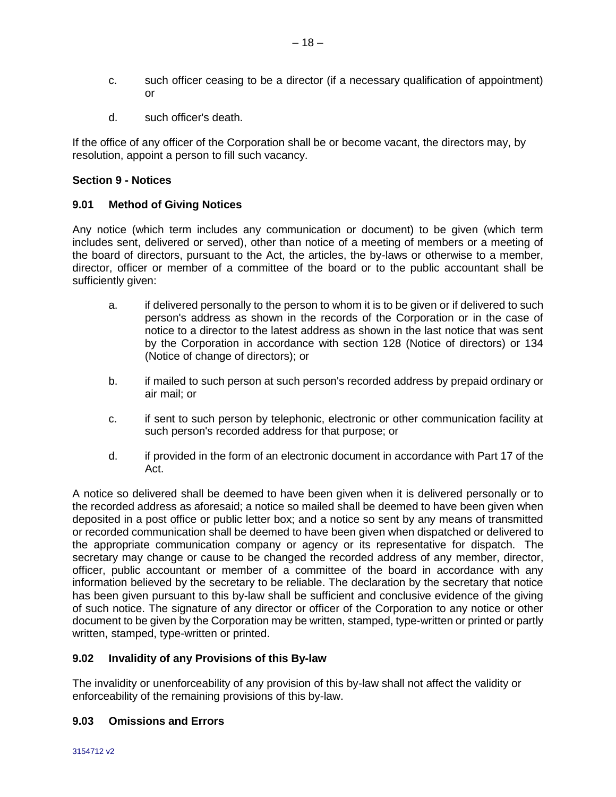- c. such officer ceasing to be a director (if a necessary qualification of appointment) or
- d. such officer's death.

If the office of any officer of the Corporation shall be or become vacant, the directors may, by resolution, appoint a person to fill such vacancy.

#### <span id="page-17-0"></span>**Section 9 - Notices**

#### **9.01 Method of Giving Notices**

Any notice (which term includes any communication or document) to be given (which term includes sent, delivered or served), other than notice of a meeting of members or a meeting of the board of directors, pursuant to the Act, the articles, the by-laws or otherwise to a member, director, officer or member of a committee of the board or to the public accountant shall be sufficiently given:

- a. if delivered personally to the person to whom it is to be given or if delivered to such person's address as shown in the records of the Corporation or in the case of notice to a director to the latest address as shown in the last notice that was sent by the Corporation in accordance with section 128 (Notice of directors) or 134 (Notice of change of directors); or
- b. if mailed to such person at such person's recorded address by prepaid ordinary or air mail; or
- c. if sent to such person by telephonic, electronic or other communication facility at such person's recorded address for that purpose; or
- d. if provided in the form of an electronic document in accordance with Part 17 of the Act.

A notice so delivered shall be deemed to have been given when it is delivered personally or to the recorded address as aforesaid; a notice so mailed shall be deemed to have been given when deposited in a post office or public letter box; and a notice so sent by any means of transmitted or recorded communication shall be deemed to have been given when dispatched or delivered to the appropriate communication company or agency or its representative for dispatch. The secretary may change or cause to be changed the recorded address of any member, director, officer, public accountant or member of a committee of the board in accordance with any information believed by the secretary to be reliable. The declaration by the secretary that notice has been given pursuant to this by-law shall be sufficient and conclusive evidence of the giving of such notice. The signature of any director or officer of the Corporation to any notice or other document to be given by the Corporation may be written, stamped, type-written or printed or partly written, stamped, type-written or printed.

#### <span id="page-17-1"></span>**9.02 Invalidity of any Provisions of this By-law**

The invalidity or unenforceability of any provision of this by-law shall not affect the validity or enforceability of the remaining provisions of this by-law.

# <span id="page-17-2"></span>**9.03 Omissions and Errors**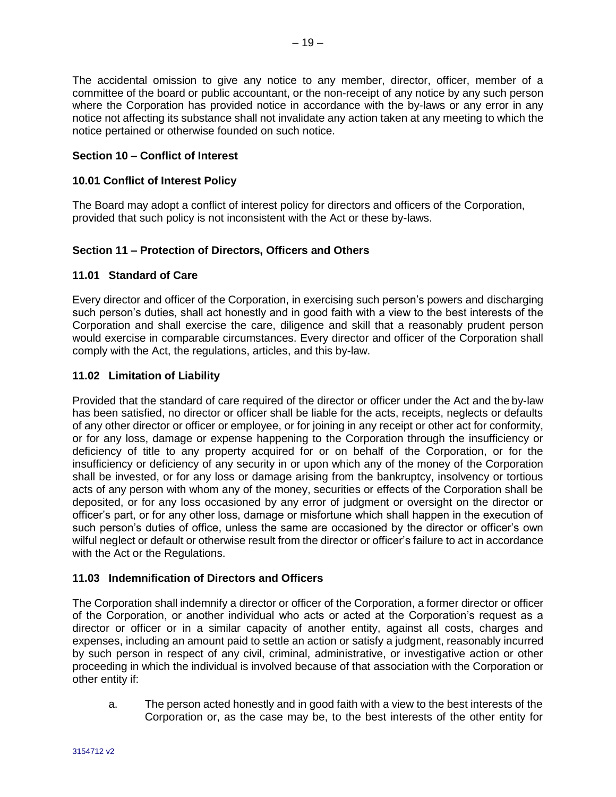The accidental omission to give any notice to any member, director, officer, member of a committee of the board or public accountant, or the non-receipt of any notice by any such person where the Corporation has provided notice in accordance with the by-laws or any error in any notice not affecting its substance shall not invalidate any action taken at any meeting to which the notice pertained or otherwise founded on such notice.

# <span id="page-18-0"></span>**Section 10 – Conflict of Interest**

# **10.01 Conflict of Interest Policy**

The Board may adopt a conflict of interest policy for directors and officers of the Corporation, provided that such policy is not inconsistent with the Act or these by-laws.

# **Section 11 – Protection of Directors, Officers and Others**

#### **11.01 Standard of Care**

Every director and officer of the Corporation, in exercising such person's powers and discharging such person's duties, shall act honestly and in good faith with a view to the best interests of the Corporation and shall exercise the care, diligence and skill that a reasonably prudent person would exercise in comparable circumstances. Every director and officer of the Corporation shall comply with the Act, the regulations, articles, and this by-law.

#### <span id="page-18-1"></span>**11.02 Limitation of Liability**

Provided that the standard of care required of the director or officer under the Act and the by-law has been satisfied, no director or officer shall be liable for the acts, receipts, neglects or defaults of any other director or officer or employee, or for joining in any receipt or other act for conformity, or for any loss, damage or expense happening to the Corporation through the insufficiency or deficiency of title to any property acquired for or on behalf of the Corporation, or for the insufficiency or deficiency of any security in or upon which any of the money of the Corporation shall be invested, or for any loss or damage arising from the bankruptcy, insolvency or tortious acts of any person with whom any of the money, securities or effects of the Corporation shall be deposited, or for any loss occasioned by any error of judgment or oversight on the director or officer's part, or for any other loss, damage or misfortune which shall happen in the execution of such person's duties of office, unless the same are occasioned by the director or officer's own wilful neglect or default or otherwise result from the director or officer's failure to act in accordance with the Act or the Regulations.

# <span id="page-18-2"></span>**11.03 Indemnification of Directors and Officers**

The Corporation shall indemnify a director or officer of the Corporation, a former director or officer of the Corporation, or another individual who acts or acted at the Corporation's request as a director or officer or in a similar capacity of another entity, against all costs, charges and expenses, including an amount paid to settle an action or satisfy a judgment, reasonably incurred by such person in respect of any civil, criminal, administrative, or investigative action or other proceeding in which the individual is involved because of that association with the Corporation or other entity if:

a. The person acted honestly and in good faith with a view to the best interests of the Corporation or, as the case may be, to the best interests of the other entity for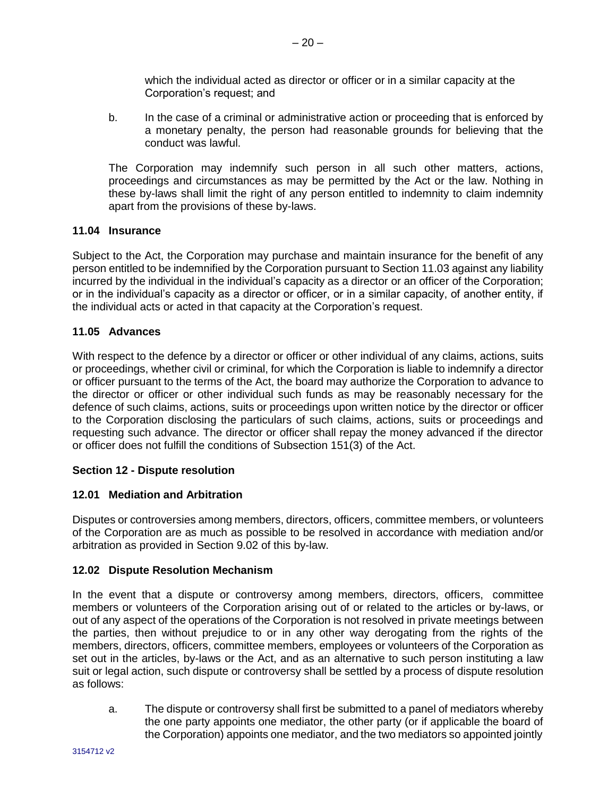which the individual acted as director or officer or in a similar capacity at the Corporation's request; and

b. In the case of a criminal or administrative action or proceeding that is enforced by a monetary penalty, the person had reasonable grounds for believing that the conduct was lawful.

The Corporation may indemnify such person in all such other matters, actions, proceedings and circumstances as may be permitted by the Act or the law. Nothing in these by-laws shall limit the right of any person entitled to indemnity to claim indemnity apart from the provisions of these by-laws.

#### <span id="page-19-0"></span>**11.04 Insurance**

Subject to the Act, the Corporation may purchase and maintain insurance for the benefit of any person entitled to be indemnified by the Corporation pursuant to Section 11.03 against any liability incurred by the individual in the individual's capacity as a director or an officer of the Corporation; or in the individual's capacity as a director or officer, or in a similar capacity, of another entity, if the individual acts or acted in that capacity at the Corporation's request.

#### <span id="page-19-1"></span>**11.05 Advances**

With respect to the defence by a director or officer or other individual of any claims, actions, suits or proceedings, whether civil or criminal, for which the Corporation is liable to indemnify a director or officer pursuant to the terms of the Act, the board may authorize the Corporation to advance to the director or officer or other individual such funds as may be reasonably necessary for the defence of such claims, actions, suits or proceedings upon written notice by the director or officer to the Corporation disclosing the particulars of such claims, actions, suits or proceedings and requesting such advance. The director or officer shall repay the money advanced if the director or officer does not fulfill the conditions of Subsection 151(3) of the Act.

#### <span id="page-19-2"></span>**Section 12 - Dispute resolution**

# **12.01 Mediation and Arbitration**

Disputes or controversies among members, directors, officers, committee members, or volunteers of the Corporation are as much as possible to be resolved in accordance with mediation and/or arbitration as provided in Section 9.02 of this by-law.

#### <span id="page-19-3"></span>**12.02 Dispute Resolution Mechanism**

In the event that a dispute or controversy among members, directors, officers, committee members or volunteers of the Corporation arising out of or related to the articles or by-laws, or out of any aspect of the operations of the Corporation is not resolved in private meetings between the parties, then without prejudice to or in any other way derogating from the rights of the members, directors, officers, committee members, employees or volunteers of the Corporation as set out in the articles, by-laws or the Act, and as an alternative to such person instituting a law suit or legal action, such dispute or controversy shall be settled by a process of dispute resolution as follows:

a. The dispute or controversy shall first be submitted to a panel of mediators whereby the one party appoints one mediator, the other party (or if applicable the board of the Corporation) appoints one mediator, and the two mediators so appointed jointly